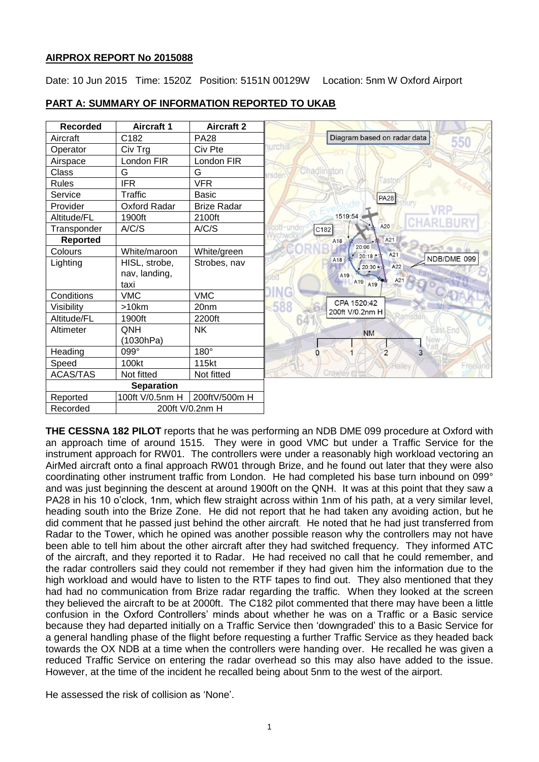# **AIRPROX REPORT No 2015088**

Date: 10 Jun 2015 Time: 1520Z Position: 5151N 00129W Location: 5nm W Oxford Airport

| <b>Recorded</b>   | <b>Aircraft 1</b>   | <b>Aircraft 2</b>  |                                        |
|-------------------|---------------------|--------------------|----------------------------------------|
| Aircraft          | C182                | <b>PA28</b>        | Diagram based on radar data<br>550     |
| Operator          | Civ Trg             | Civ Pte            | nurchill                               |
| Airspace          | London FIR          | London FIR         |                                        |
| Class             | G                   | G                  | Chadlington<br>arsder                  |
| <b>Rules</b>      | <b>IFR</b>          | <b>VFR</b>         | llast                                  |
| Service           | Traffic             | Basic              | <b>PA28</b>                            |
| Provider          | <b>Oxford Radar</b> | <b>Brize Radar</b> |                                        |
| Altitude/FL       | 1900ft              | 2100ft             | 1519:54                                |
| Transponder       | A/C/S               | A/C/S              | A20<br>ott-under<br>C182               |
| <b>Reported</b>   |                     |                    | A21<br>A18                             |
| Colours           | White/maroon        | White/green        | 20:06<br>A21<br>20:18 **               |
| Lighting          | HISL, strobe,       | Strobes, nav       | NDB/DME 099<br>A18<br>A22<br>【20:30 ▲☆ |
|                   | nav, landing,       |                    | A19                                    |
|                   | taxi                |                    | A21<br>A19<br>A19                      |
| Conditions        | <b>VMC</b>          | <b>VMC</b>         | OAD                                    |
| Visibility        | >10km               | 20nm               | CPA 1520:42<br>588<br>200ft V/0.2nm H  |
| Altitude/FL       | 1900ft              | 2200ft             |                                        |
| Altimeter         | QNH                 | <b>NK</b>          | East End<br><b>NM</b>                  |
|                   | (1030hPa)           |                    |                                        |
| Heading           | 099°                | 180°               | $\overline{3}$<br>$\overline{2}$       |
| Speed             | 100kt               | 115kt              | Freeland<br>Hailey                     |
| <b>ACAS/TAS</b>   | Not fitted          | Not fitted         | Crawley <sub>III</sub>                 |
| <b>Separation</b> |                     |                    |                                        |
| Reported          | 100ft V/0.5nm H     | 200ftV/500m H      |                                        |
| Recorded          | 200ft V/0.2nm H     |                    |                                        |

# **PART A: SUMMARY OF INFORMATION REPORTED TO UKAB**

**THE CESSNA 182 PILOT** reports that he was performing an NDB DME 099 procedure at Oxford with an approach time of around 1515. They were in good VMC but under a Traffic Service for the instrument approach for RW01. The controllers were under a reasonably high workload vectoring an AirMed aircraft onto a final approach RW01 through Brize, and he found out later that they were also coordinating other instrument traffic from London. He had completed his base turn inbound on 099° and was just beginning the descent at around 1900ft on the QNH. It was at this point that they saw a PA28 in his 10 o'clock, 1nm, which flew straight across within 1nm of his path, at a very similar level, heading south into the Brize Zone. He did not report that he had taken any avoiding action, but he did comment that he passed just behind the other aircraft. He noted that he had just transferred from Radar to the Tower, which he opined was another possible reason why the controllers may not have been able to tell him about the other aircraft after they had switched frequency. They informed ATC of the aircraft, and they reported it to Radar. He had received no call that he could remember, and the radar controllers said they could not remember if they had given him the information due to the high workload and would have to listen to the RTF tapes to find out. They also mentioned that they had had no communication from Brize radar regarding the traffic. When they looked at the screen they believed the aircraft to be at 2000ft. The C182 pilot commented that there may have been a little confusion in the Oxford Controllers' minds about whether he was on a Traffic or a Basic service because they had departed initially on a Traffic Service then 'downgraded' this to a Basic Service for a general handling phase of the flight before requesting a further Traffic Service as they headed back towards the OX NDB at a time when the controllers were handing over. He recalled he was given a reduced Traffic Service on entering the radar overhead so this may also have added to the issue. However, at the time of the incident he recalled being about 5nm to the west of the airport.

He assessed the risk of collision as 'None'.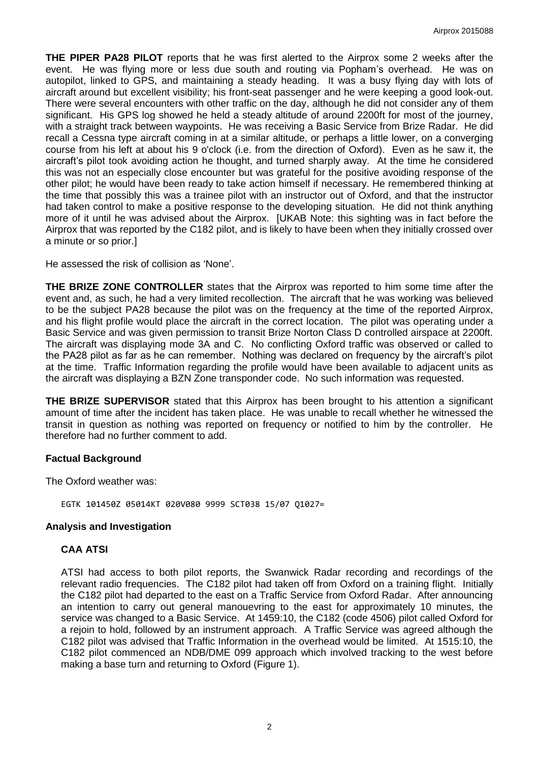**THE PIPER PA28 PILOT** reports that he was first alerted to the Airprox some 2 weeks after the event. He was flying more or less due south and routing via Popham's overhead. He was on autopilot, linked to GPS, and maintaining a steady heading. It was a busy flying day with lots of aircraft around but excellent visibility; his front-seat passenger and he were keeping a good look-out. There were several encounters with other traffic on the day, although he did not consider any of them significant. His GPS log showed he held a steady altitude of around 2200ft for most of the journey, with a straight track between waypoints. He was receiving a Basic Service from Brize Radar. He did recall a Cessna type aircraft coming in at a similar altitude, or perhaps a little lower, on a converging course from his left at about his 9 o'clock (i.e. from the direction of Oxford). Even as he saw it, the aircraft's pilot took avoiding action he thought, and turned sharply away. At the time he considered this was not an especially close encounter but was grateful for the positive avoiding response of the other pilot; he would have been ready to take action himself if necessary. He remembered thinking at the time that possibly this was a trainee pilot with an instructor out of Oxford, and that the instructor had taken control to make a positive response to the developing situation. He did not think anything more of it until he was advised about the Airprox. [UKAB Note: this sighting was in fact before the Airprox that was reported by the C182 pilot, and is likely to have been when they initially crossed over a minute or so prior.]

He assessed the risk of collision as 'None'.

**THE BRIZE ZONE CONTROLLER** states that the Airprox was reported to him some time after the event and, as such, he had a very limited recollection. The aircraft that he was working was believed to be the subject PA28 because the pilot was on the frequency at the time of the reported Airprox, and his flight profile would place the aircraft in the correct location. The pilot was operating under a Basic Service and was given permission to transit Brize Norton Class D controlled airspace at 2200ft. The aircraft was displaying mode 3A and C. No conflicting Oxford traffic was observed or called to the PA28 pilot as far as he can remember. Nothing was declared on frequency by the aircraft's pilot at the time. Traffic Information regarding the profile would have been available to adjacent units as the aircraft was displaying a BZN Zone transponder code. No such information was requested.

**THE BRIZE SUPERVISOR** stated that this Airprox has been brought to his attention a significant amount of time after the incident has taken place. He was unable to recall whether he witnessed the transit in question as nothing was reported on frequency or notified to him by the controller. He therefore had no further comment to add.

# **Factual Background**

The Oxford weather was:

EGTK 101450Z 05014KT 020V080 9999 SCT038 15/07 Q1027=

#### **Analysis and Investigation**

# **CAA ATSI**

ATSI had access to both pilot reports, the Swanwick Radar recording and recordings of the relevant radio frequencies. The C182 pilot had taken off from Oxford on a training flight. Initially the C182 pilot had departed to the east on a Traffic Service from Oxford Radar. After announcing an intention to carry out general manouevring to the east for approximately 10 minutes, the service was changed to a Basic Service. At 1459:10, the C182 (code 4506) pilot called Oxford for a rejoin to hold, followed by an instrument approach. A Traffic Service was agreed although the C182 pilot was advised that Traffic Information in the overhead would be limited. At 1515:10, the C182 pilot commenced an NDB/DME 099 approach which involved tracking to the west before making a base turn and returning to Oxford (Figure 1).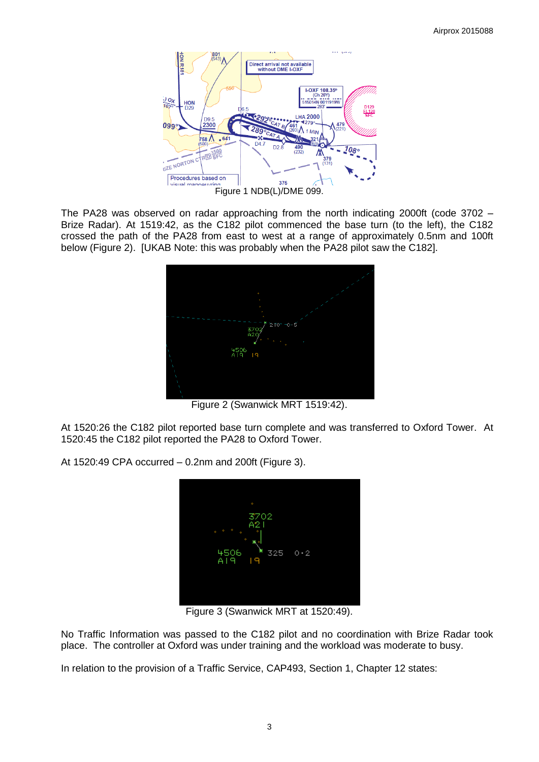

The PA28 was observed on radar approaching from the north indicating 2000ft (code 3702 – Brize Radar). At 1519:42, as the C182 pilot commenced the base turn (to the left), the C182 crossed the path of the PA28 from east to west at a range of approximately 0.5nm and 100ft below (Figure 2). [UKAB Note: this was probably when the PA28 pilot saw the C182].



Figure 2 (Swanwick MRT 1519:42).

At 1520:26 the C182 pilot reported base turn complete and was transferred to Oxford Tower. At 1520:45 the C182 pilot reported the PA28 to Oxford Tower.

At 1520:49 CPA occurred – 0.2nm and 200ft (Figure 3).



Figure 3 (Swanwick MRT at 1520:49).

No Traffic Information was passed to the C182 pilot and no coordination with Brize Radar took place. The controller at Oxford was under training and the workload was moderate to busy.

In relation to the provision of a Traffic Service, CAP493, Section 1, Chapter 12 states: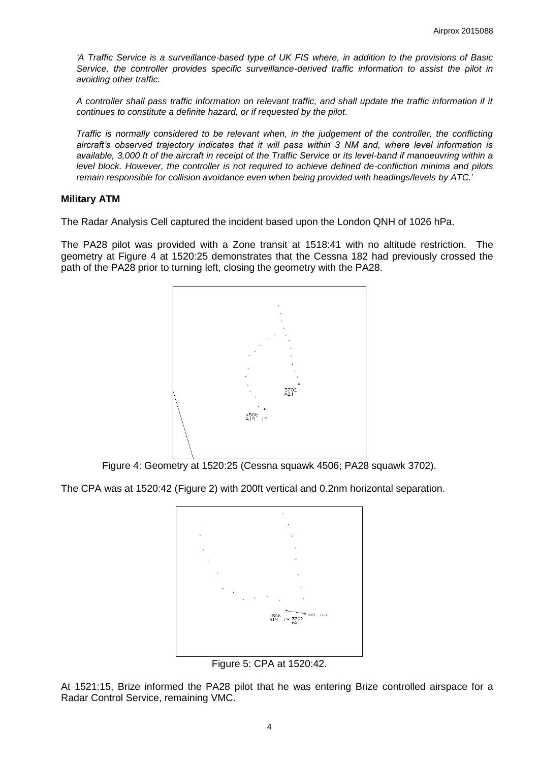*'A Traffic Service is a surveillance-based type of UK FIS where, in addition to the provisions of Basic Service, the controller provides specific surveillance-derived traffic information to assist the pilot in avoiding other traffic.* 

*A controller shall pass traffic information on relevant traffic, and shall update the traffic information if it continues to constitute a definite hazard, or if requested by the pilot.* 

*Traffic is normally considered to be relevant when, in the judgement of the controller, the conflicting aircraft's observed trajectory indicates that it will pass within 3 NM and, where level information is available, 3,000 ft of the aircraft in receipt of the Traffic Service or its level-band if manoeuvring within a level block. However, the controller is not required to achieve defined de-confliction minima and pilots remain responsible for collision avoidance even when being provided with headings/levels by ATC.*'

### **Military ATM**

The Radar Analysis Cell captured the incident based upon the London QNH of 1026 hPa.

The PA28 pilot was provided with a Zone transit at 1518:41 with no altitude restriction. The geometry at Figure 4 at 1520:25 demonstrates that the Cessna 182 had previously crossed the path of the PA28 prior to turning left, closing the geometry with the PA28.



Figure 4: Geometry at 1520:25 (Cessna squawk 4506; PA28 squawk 3702).

The CPA was at 1520:42 (Figure 2) with 200ft vertical and 0.2nm horizontal separation.



Figure 5: CPA at 1520:42.

At 1521:15, Brize informed the PA28 pilot that he was entering Brize controlled airspace for a Radar Control Service, remaining VMC.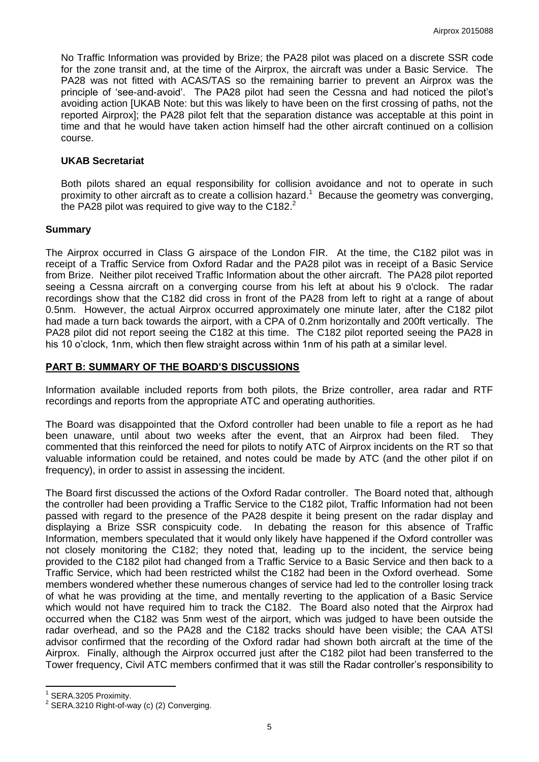No Traffic Information was provided by Brize; the PA28 pilot was placed on a discrete SSR code for the zone transit and, at the time of the Airprox, the aircraft was under a Basic Service. The PA28 was not fitted with ACAS/TAS so the remaining barrier to prevent an Airprox was the principle of 'see-and-avoid'. The PA28 pilot had seen the Cessna and had noticed the pilot's avoiding action [UKAB Note: but this was likely to have been on the first crossing of paths, not the reported Airprox]; the PA28 pilot felt that the separation distance was acceptable at this point in time and that he would have taken action himself had the other aircraft continued on a collision course.

### **UKAB Secretariat**

Both pilots shared an equal responsibility for collision avoidance and not to operate in such proximity to other aircraft as to create a collision hazard.<sup>1</sup> Because the geometry was converging, the PA28 pilot was required to give way to the C182. $^2$ 

### **Summary**

The Airprox occurred in Class G airspace of the London FIR. At the time, the C182 pilot was in receipt of a Traffic Service from Oxford Radar and the PA28 pilot was in receipt of a Basic Service from Brize. Neither pilot received Traffic Information about the other aircraft. The PA28 pilot reported seeing a Cessna aircraft on a converging course from his left at about his 9 o'clock. The radar recordings show that the C182 did cross in front of the PA28 from left to right at a range of about 0.5nm. However, the actual Airprox occurred approximately one minute later, after the C182 pilot had made a turn back towards the airport, with a CPA of 0.2nm horizontally and 200ft vertically. The PA28 pilot did not report seeing the C182 at this time. The C182 pilot reported seeing the PA28 in his 10 o'clock, 1nm, which then flew straight across within 1nm of his path at a similar level.

### **PART B: SUMMARY OF THE BOARD'S DISCUSSIONS**

Information available included reports from both pilots, the Brize controller, area radar and RTF recordings and reports from the appropriate ATC and operating authorities.

The Board was disappointed that the Oxford controller had been unable to file a report as he had been unaware, until about two weeks after the event, that an Airprox had been filed. They commented that this reinforced the need for pilots to notify ATC of Airprox incidents on the RT so that valuable information could be retained, and notes could be made by ATC (and the other pilot if on frequency), in order to assist in assessing the incident.

The Board first discussed the actions of the Oxford Radar controller. The Board noted that, although the controller had been providing a Traffic Service to the C182 pilot, Traffic Information had not been passed with regard to the presence of the PA28 despite it being present on the radar display and displaying a Brize SSR conspicuity code. In debating the reason for this absence of Traffic Information, members speculated that it would only likely have happened if the Oxford controller was not closely monitoring the C182; they noted that, leading up to the incident, the service being provided to the C182 pilot had changed from a Traffic Service to a Basic Service and then back to a Traffic Service, which had been restricted whilst the C182 had been in the Oxford overhead. Some members wondered whether these numerous changes of service had led to the controller losing track of what he was providing at the time, and mentally reverting to the application of a Basic Service which would not have required him to track the C182. The Board also noted that the Airprox had occurred when the C182 was 5nm west of the airport, which was judged to have been outside the radar overhead, and so the PA28 and the C182 tracks should have been visible; the CAA ATSI advisor confirmed that the recording of the Oxford radar had shown both aircraft at the time of the Airprox. Finally, although the Airprox occurred just after the C182 pilot had been transferred to the Tower frequency, Civil ATC members confirmed that it was still the Radar controller's responsibility to

 $\overline{\phantom{a}}$ 1 SERA.3205 Proximity.

 $2$  SERA.3210 Right-of-way (c) (2) Converging.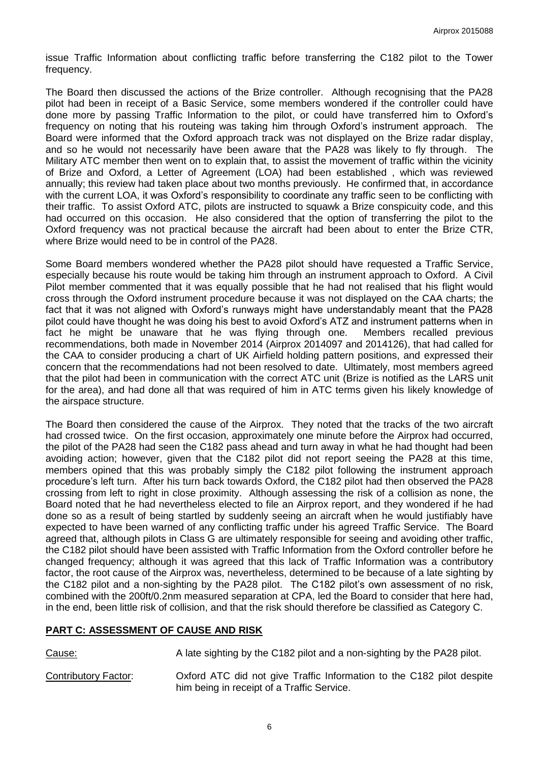issue Traffic Information about conflicting traffic before transferring the C182 pilot to the Tower frequency.

The Board then discussed the actions of the Brize controller. Although recognising that the PA28 pilot had been in receipt of a Basic Service, some members wondered if the controller could have done more by passing Traffic Information to the pilot, or could have transferred him to Oxford's frequency on noting that his routeing was taking him through Oxford's instrument approach. The Board were informed that the Oxford approach track was not displayed on the Brize radar display, and so he would not necessarily have been aware that the PA28 was likely to fly through. The Military ATC member then went on to explain that, to assist the movement of traffic within the vicinity of Brize and Oxford, a Letter of Agreement (LOA) had been established , which was reviewed annually; this review had taken place about two months previously. He confirmed that, in accordance with the current LOA, it was Oxford's responsibility to coordinate any traffic seen to be conflicting with their traffic. To assist Oxford ATC, pilots are instructed to squawk a Brize conspicuity code, and this had occurred on this occasion. He also considered that the option of transferring the pilot to the Oxford frequency was not practical because the aircraft had been about to enter the Brize CTR, where Brize would need to be in control of the PA28.

Some Board members wondered whether the PA28 pilot should have requested a Traffic Service, especially because his route would be taking him through an instrument approach to Oxford. A Civil Pilot member commented that it was equally possible that he had not realised that his flight would cross through the Oxford instrument procedure because it was not displayed on the CAA charts; the fact that it was not aligned with Oxford's runways might have understandably meant that the PA28 pilot could have thought he was doing his best to avoid Oxford's ATZ and instrument patterns when in fact he might be unaware that he was flying through one. Members recalled previous recommendations, both made in November 2014 (Airprox 2014097 and 2014126), that had called for the CAA to consider producing a chart of UK Airfield holding pattern positions, and expressed their concern that the recommendations had not been resolved to date. Ultimately, most members agreed that the pilot had been in communication with the correct ATC unit (Brize is notified as the LARS unit for the area), and had done all that was required of him in ATC terms given his likely knowledge of the airspace structure.

The Board then considered the cause of the Airprox. They noted that the tracks of the two aircraft had crossed twice. On the first occasion, approximately one minute before the Airprox had occurred, the pilot of the PA28 had seen the C182 pass ahead and turn away in what he had thought had been avoiding action; however, given that the C182 pilot did not report seeing the PA28 at this time, members opined that this was probably simply the C182 pilot following the instrument approach procedure's left turn. After his turn back towards Oxford, the C182 pilot had then observed the PA28 crossing from left to right in close proximity. Although assessing the risk of a collision as none, the Board noted that he had nevertheless elected to file an Airprox report, and they wondered if he had done so as a result of being startled by suddenly seeing an aircraft when he would justifiably have expected to have been warned of any conflicting traffic under his agreed Traffic Service. The Board agreed that, although pilots in Class G are ultimately responsible for seeing and avoiding other traffic, the C182 pilot should have been assisted with Traffic Information from the Oxford controller before he changed frequency; although it was agreed that this lack of Traffic Information was a contributory factor, the root cause of the Airprox was, nevertheless, determined to be because of a late sighting by the C182 pilot and a non-sighting by the PA28 pilot. The C182 pilot's own assessment of no risk, combined with the 200ft/0.2nm measured separation at CPA, led the Board to consider that here had, in the end, been little risk of collision, and that the risk should therefore be classified as Category C.

# **PART C: ASSESSMENT OF CAUSE AND RISK**

Cause: A late sighting by the C182 pilot and a non-sighting by the PA28 pilot.

Contributory Factor: Oxford ATC did not give Traffic Information to the C182 pilot despite him being in receipt of a Traffic Service.